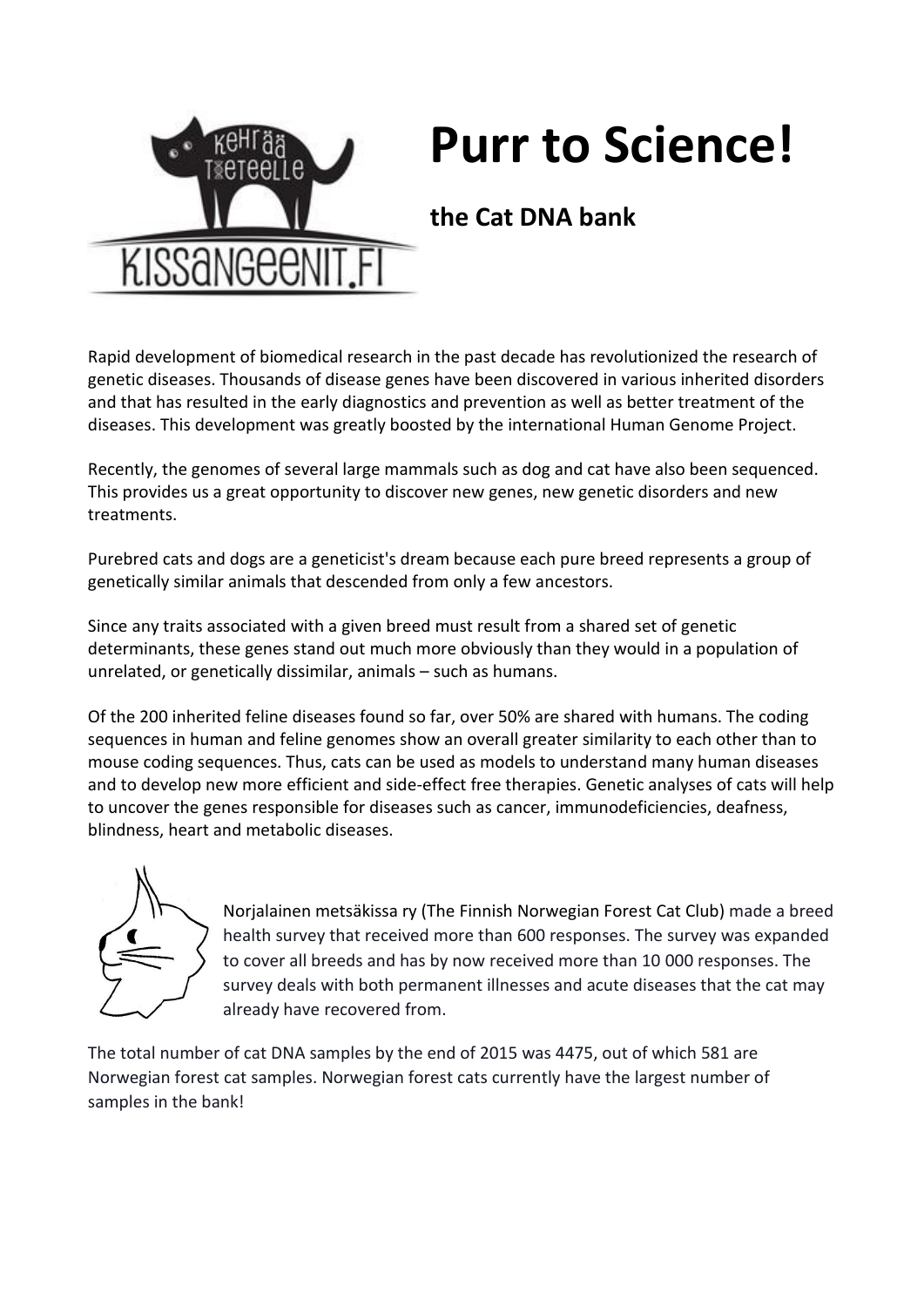

## **Purr to Science!**

## **the Cat DNA bank**

Rapid development of biomedical research in the past decade has revolutionized the research of genetic diseases. Thousands of disease genes have been discovered in various inherited disorders and that has resulted in the early diagnostics and prevention as well as better treatment of the diseases. This development was greatly boosted by the international Human Genome Project.

Recently, the genomes of several large mammals such as dog and cat have also been sequenced. This provides us a great opportunity to discover new genes, new genetic disorders and new treatments.

Purebred cats and dogs are a geneticist's dream because each pure breed represents a group of genetically similar animals that descended from only a few ancestors.

Since any traits associated with a given breed must result from a shared set of genetic determinants, these genes stand out much more obviously than they would in a population of unrelated, or genetically dissimilar, animals – such as humans.

Of the 200 inherited feline diseases found so far, over 50% are shared with humans. The coding sequences in human and feline genomes show an overall greater similarity to each other than to mouse coding sequences. Thus, cats can be used as models to understand many human diseases and to develop new more efficient and side-effect free therapies. Genetic analyses of cats will help to uncover the genes responsible for diseases such as cancer, immunodeficiencies, deafness, blindness, heart and metabolic diseases.



Norjalainen metsäkissa ry (The Finnish Norwegian Forest Cat Club) made a breed health survey that received more than 600 responses. The survey was expanded to cover all breeds and has by now received more than 10 000 responses. The survey deals with both permanent illnesses and acute diseases that the cat may already have recovered from.

The total number of cat DNA samples by the end of 2015 was 4475, out of which 581 are Norwegian forest cat samples. Norwegian forest cats currently have the largest number of samples in the bank!